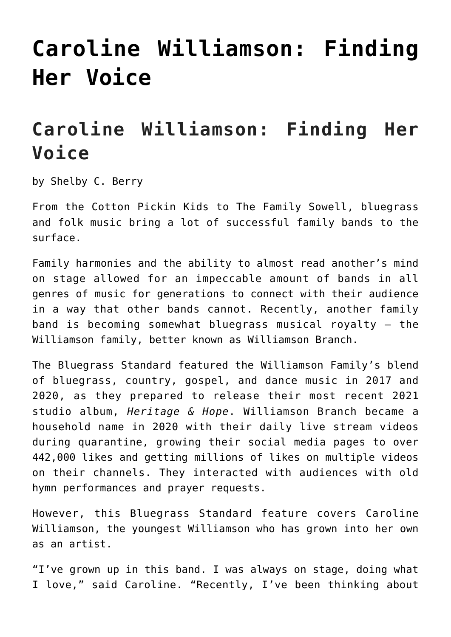## **[Caroline Williamson: Finding](https://thebluegrassstandard.com/caroline-williamson-finding-her-voice/) [Her Voice](https://thebluegrassstandard.com/caroline-williamson-finding-her-voice/)**

## **Caroline Williamson: Finding Her Voice**

by Shelby C. Berry

From the Cotton Pickin Kids to The Family Sowell, bluegrass and folk music bring a lot of successful family bands to the surface.

Family harmonies and the ability to almost read another's mind on stage allowed for an impeccable amount of bands in all genres of music for generations to connect with their audience in a way that other bands cannot. Recently, another family band is becoming somewhat bluegrass musical royalty — the Williamson family, better known as Williamson Branch.

The Bluegrass Standard featured the Williamson Family's blend of bluegrass, country, gospel, and dance music in 2017 and 2020, as they prepared to release their most recent 2021 studio album, *Heritage & Hope*. Williamson Branch became a household name in 2020 with their daily live stream videos during quarantine, growing their social media pages to over 442,000 likes and getting millions of likes on multiple videos on their channels. They interacted with audiences with old hymn performances and prayer requests.

However, this Bluegrass Standard feature covers Caroline Williamson, the youngest Williamson who has grown into her own as an artist.

"I've grown up in this band. I was always on stage, doing what I love," said Caroline. "Recently, I've been thinking about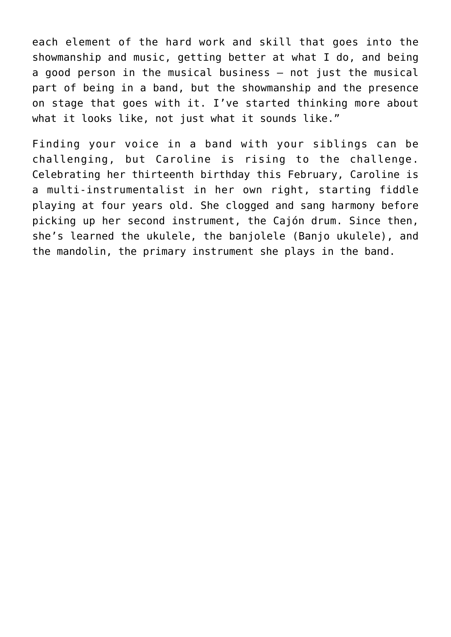each element of the hard work and skill that goes into the showmanship and music, getting better at what I do, and being a good person in the musical business — not just the musical part of being in a band, but the showmanship and the presence on stage that goes with it. I've started thinking more about what it looks like, not just what it sounds like."

Finding your voice in a band with your siblings can be challenging, but Caroline is rising to the challenge. Celebrating her thirteenth birthday this February, Caroline is a multi-instrumentalist in her own right, starting fiddle playing at four years old. She clogged and sang harmony before picking up her second instrument, the Cajón drum. Since then, she's learned the ukulele, the banjolele (Banjo ukulele), and the mandolin, the primary instrument she plays in the band.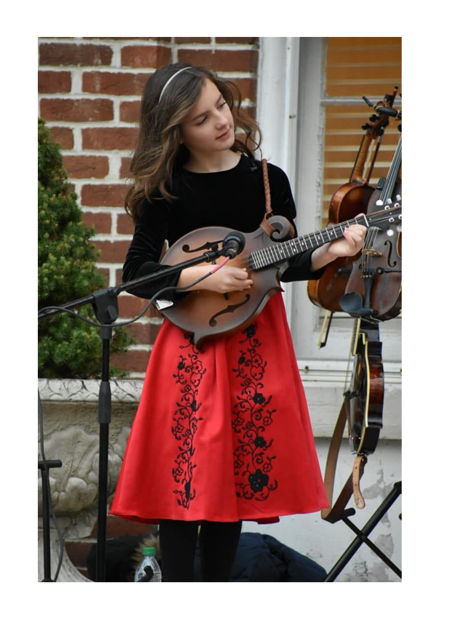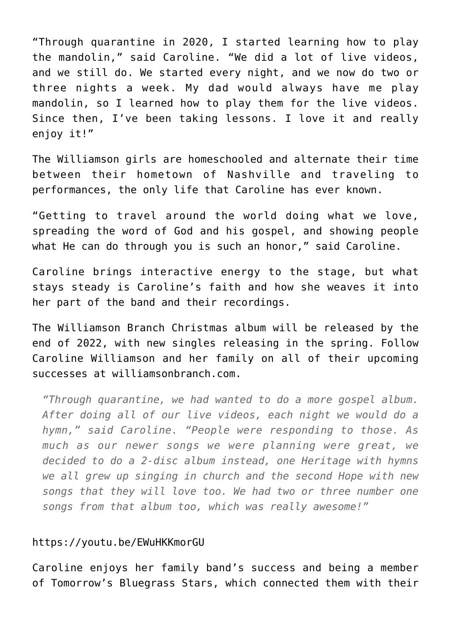"Through quarantine in 2020, I started learning how to play the mandolin," said Caroline. "We did a lot of live videos, and we still do. We started every night, and we now do two or three nights a week. My dad would always have me play mandolin, so I learned how to play them for the live videos. Since then, I've been taking lessons. I love it and really enjoy it!"

The Williamson girls are homeschooled and alternate their time between their hometown of Nashville and traveling to performances, the only life that Caroline has ever known.

"Getting to travel around the world doing what we love, spreading the word of God and his gospel, and showing people what He can do through you is such an honor," said Caroline.

Caroline brings interactive energy to the stage, but what stays steady is Caroline's faith and how she weaves it into her part of the band and their recordings.

The Williamson Branch Christmas album will be released by the end of 2022, with new singles releasing in the spring. Follow Caroline Williamson and her family on all of their upcoming successes at [williamsonbranch.com.](http://williamsonbranch.com)

*"Through quarantine, we had wanted to do a more gospel album. After doing all of our live videos, each night we would do a hymn," said Caroline. "People were responding to those. As much as our newer songs we were planning were great, we decided to do a 2-disc album instead, one Heritage with hymns we all grew up singing in church and the second Hope with new songs that they will love too. We had two or three number one songs from that album too, which was really awesome!"*

## https://youtu.be/EWuHKKmorGU

Caroline enjoys her family band's success and being a member of Tomorrow's Bluegrass Stars, which connected them with their